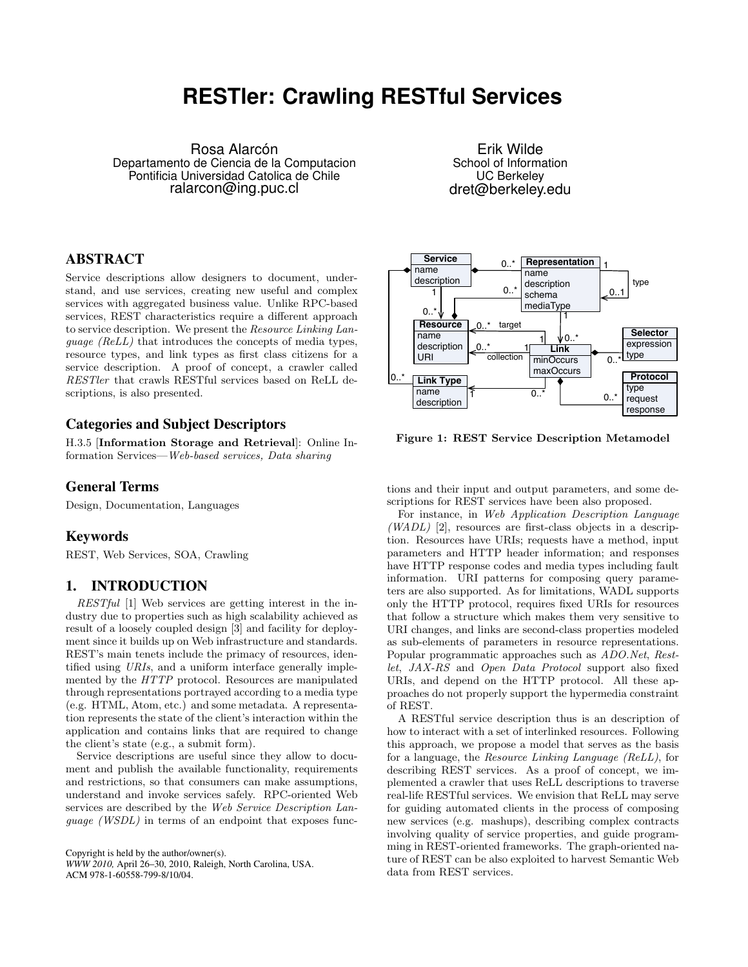# **RESTler: Crawling RESTful Services**

<span id="page-0-0"></span>Rosa Alarcón Departamento de Ciencia de la Computacion Pontificia Universidad Catolica de Chile ralarcon@ing.puc.cl

Erik Wilde School of Information UC Berkeley dret@berkeley.edu

## ABSTRACT

Service descriptions allow designers to document, understand, and use services, creating new useful and complex services with aggregated business value. Unlike RPC-based services, REST characteristics require a different approach to service description. We present the Resource Linking Language (ReLL) that introduces the concepts of media types, resource types, and link types as first class citizens for a service description. A proof of concept, a crawler called RESTler that crawls RESTful services based on ReLL descriptions, is also presented.

### Categories and Subject Descriptors

H.3.5 [Information Storage and Retrieval]: Online Information Services—Web-based services, Data sharing

#### General Terms

Design, Documentation, Languages

#### Keywords

REST, Web Services, SOA, Crawling

#### 1. INTRODUCTION

RESTful [\[1\]](#page-1-0) Web services are getting interest in the industry due to properties such as high scalability achieved as result of a loosely coupled design [\[3\]](#page-1-0) and facility for deployment since it builds up on Web infrastructure and standards. REST's main tenets include the primacy of resources, identified using URIs, and a uniform interface generally implemented by the HTTP protocol. Resources are manipulated through representations portrayed according to a media type (e.g. HTML, Atom, etc.) and some metadata. A representation represents the state of the client's interaction within the application and contains links that are required to change the client's state (e.g., a submit form).

Service descriptions are useful since they allow to document and publish the available functionality, requirements and restrictions, so that consumers can make assumptions, understand and invoke services safely. RPC-oriented Web services are described by the Web Service Description Language (WSDL) in terms of an endpoint that exposes func-

Copyright is held by the author/owner(s). *WWW 2010,* April 26–30, 2010, Raleigh, North Carolina, USA. ACM 978-1-60558-799-8/10/04.



Figure 1: REST Service Description Metamodel

tions and their input and output parameters, and some descriptions for REST services have been also proposed.

For instance, in Web Application Description Language  $(WADL)$  [\[2\]](#page-1-0), resources are first-class objects in a description. Resources have URIs; requests have a method, input parameters and HTTP header information; and responses have HTTP response codes and media types including fault information. URI patterns for composing query parameters are also supported. As for limitations, WADL supports only the HTTP protocol, requires fixed URIs for resources that follow a structure which makes them very sensitive to URI changes, and links are second-class properties modeled as sub-elements of parameters in resource representations. Popular programmatic approaches such as ADO.Net, Restlet, JAX-RS and Open Data Protocol support also fixed URIs, and depend on the HTTP protocol. All these approaches do not properly support the hypermedia constraint of REST.

A RESTful service description thus is an description of how to interact with a set of interlinked resources. Following this approach, we propose a model that serves as the basis for a language, the Resource Linking Language (ReLL), for describing REST services. As a proof of concept, we implemented a crawler that uses ReLL descriptions to traverse real-life RESTful services. We envision that ReLL may serve for guiding automated clients in the process of composing new services (e.g. mashups), describing complex contracts involving quality of service properties, and guide programming in REST-oriented frameworks. The graph-oriented nature of REST can be also exploited to harvest Semantic Web data from REST services.